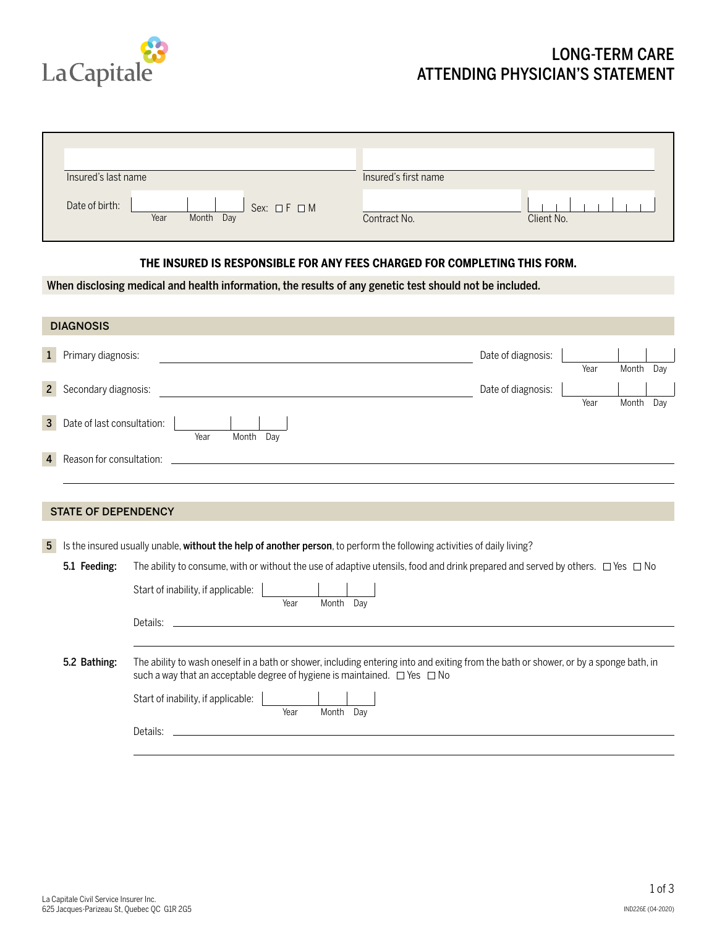

## LONG-TERM CARE ATTENDING PHYSICIAN'S STATEMENT

| Insured's last name |                                           | Insured's first name       |
|---------------------|-------------------------------------------|----------------------------|
| Date of birth:      | Sex: $\Box F \Box M$<br>Year<br>Month Day | Client No.<br>Contract No. |

## **THE INSURED IS RESPONSIBLE FOR ANY FEES CHARGED FOR COMPLETING THIS FORM.**

When disclosing medical and health information, the results of any genetic test should not be included.

|                | <b>DIAGNOSIS</b>           |                                                                                                                                          |           |  |
|----------------|----------------------------|------------------------------------------------------------------------------------------------------------------------------------------|-----------|--|
| $\mathbf{1}$   | Primary diagnosis:         | Date of diagnosis:<br>Year                                                                                                               | Month Day |  |
| $2^{\circ}$    | Secondary diagnosis:       | Date of diagnosis:<br>Year                                                                                                               | Month Day |  |
| 3              | Date of last consultation: | Month Dav<br>Year                                                                                                                        |           |  |
| $\overline{4}$ | Reason for consultation:   |                                                                                                                                          |           |  |
|                | <b>STATE OF DEPENDENCY</b> |                                                                                                                                          |           |  |
| 5              |                            | Is the insured usually unable, without the help of another person, to perform the following activities of daily living?                  |           |  |
|                | 5.1 Feeding:               | The ability to consume, with or without the use of adaptive utensils, food and drink prepared and served by others. $\Box$ Yes $\Box$ No |           |  |
|                |                            | Start of inability, if applicable:<br>Year<br>Month Dav                                                                                  |           |  |
|                |                            | Details:<br>and the control of the control of the control of the control of the control of the control of the control of the             |           |  |
|                | 5.2 Bathing:               | The ability to wash oneself in a bath or shower, including entering into and exiting from the bath or shower, or by a sponge bath, in    |           |  |
|                |                            | Start of inability, if applicable:<br>Year<br>Month Day                                                                                  |           |  |
|                |                            | Details:<br>and the control of the control of the control of the control of the control of the control of the control of the             |           |  |
|                |                            |                                                                                                                                          |           |  |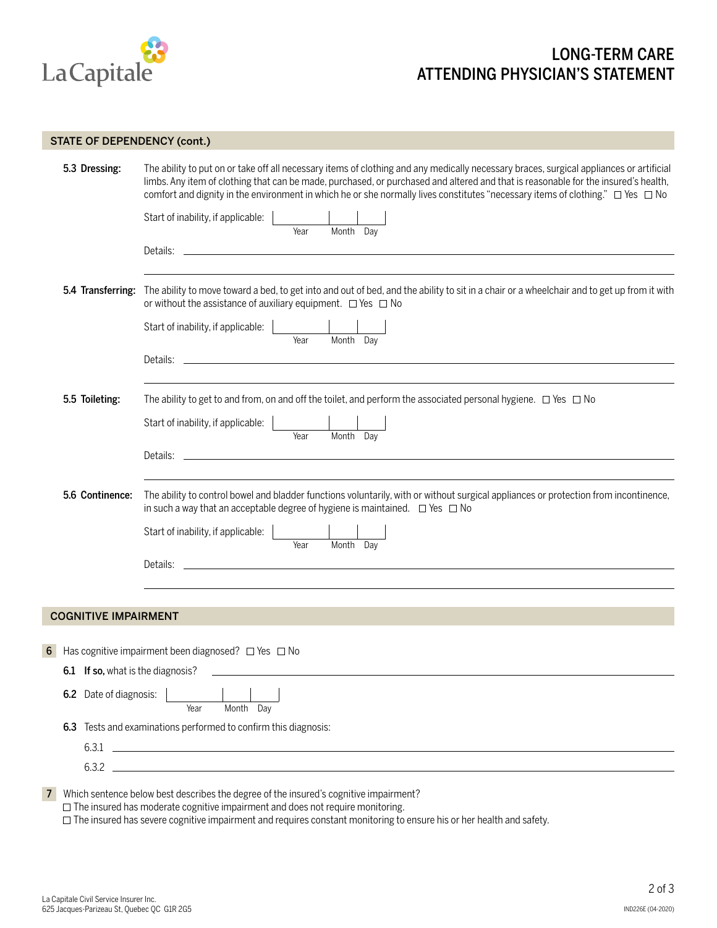

## LONG-TERM CARE ATTENDING PHYSICIAN'S STATEMENT

#### STATE OF DEPENDENCY (cont.)

| 5.3 Dressing:                     | The ability to put on or take off all necessary items of clothing and any medically necessary braces, surgical appliances or artificial<br>limbs. Any item of clothing that can be made, purchased, or purchased and altered and that is reasonable for the insured's health,<br>comfort and dignity in the environment in which he or she normally lives constitutes "necessary items of clothing." $\Box$ Yes $\Box$ No |
|-----------------------------------|---------------------------------------------------------------------------------------------------------------------------------------------------------------------------------------------------------------------------------------------------------------------------------------------------------------------------------------------------------------------------------------------------------------------------|
|                                   | Start of inability, if applicable:                                                                                                                                                                                                                                                                                                                                                                                        |
|                                   | Year<br>Month Day                                                                                                                                                                                                                                                                                                                                                                                                         |
|                                   | the control of the control of the control of the control of the control of the control of the control of the control of the control of the control of the control of the control of the control of the control of the control<br>Details:                                                                                                                                                                                 |
|                                   | 5.4 Transferring: The ability to move toward a bed, to get into and out of bed, and the ability to sit in a chair or a wheelchair and to get up from it with<br>or without the assistance of auxiliary equipment. $\Box$ Yes $\Box$ No                                                                                                                                                                                    |
|                                   | Start of inability, if applicable:<br>Month Day<br>Year                                                                                                                                                                                                                                                                                                                                                                   |
|                                   | Details: _                                                                                                                                                                                                                                                                                                                                                                                                                |
| 5.5 Toileting:                    | The ability to get to and from, on and off the toilet, and perform the associated personal hygiene. $\Box$ Yes $\Box$ No                                                                                                                                                                                                                                                                                                  |
|                                   | Start of inability, if applicable:<br>Month Day<br>Year                                                                                                                                                                                                                                                                                                                                                                   |
|                                   | Details:                                                                                                                                                                                                                                                                                                                                                                                                                  |
| 5.6 Continence:                   | The ability to control bowel and bladder functions voluntarily, with or without surgical appliances or protection from incontinence,<br>in such a way that an acceptable degree of hygiene is maintained. $\Box$ Yes $\Box$ No                                                                                                                                                                                            |
|                                   | Start of inability, if applicable:<br>Month Day<br>Year                                                                                                                                                                                                                                                                                                                                                                   |
|                                   | <u> 1980 - Andrea Station, amerikansk politik (</u><br>Details:                                                                                                                                                                                                                                                                                                                                                           |
|                                   |                                                                                                                                                                                                                                                                                                                                                                                                                           |
| <b>COGNITIVE IMPAIRMENT</b>       |                                                                                                                                                                                                                                                                                                                                                                                                                           |
| 6                                 | Has cognitive impairment been diagnosed? $\Box$ Yes $\Box$ No                                                                                                                                                                                                                                                                                                                                                             |
| 6.1 If so, what is the diagnosis? |                                                                                                                                                                                                                                                                                                                                                                                                                           |
| 6.2 Date of diagnosis:            | Month Dav<br>Year                                                                                                                                                                                                                                                                                                                                                                                                         |
| 6.3                               | Tests and examinations performed to confirm this diagnosis:                                                                                                                                                                                                                                                                                                                                                               |
| 6.3.1                             | <u> 1989 - Andrea State Barbara, amerikan personal di sebagai personal di sebagai personal di sebagai personal d</u>                                                                                                                                                                                                                                                                                                      |
| $6.3.2$ $-$                       |                                                                                                                                                                                                                                                                                                                                                                                                                           |
|                                   | Which sentence below best describes the degree of the insured's cognitive impairment?                                                                                                                                                                                                                                                                                                                                     |

 $\Box$  The insured has moderate cognitive impairment and does not require monitoring.

 $\Box$  The insured has severe cognitive impairment and requires constant monitoring to ensure his or her health and safety.